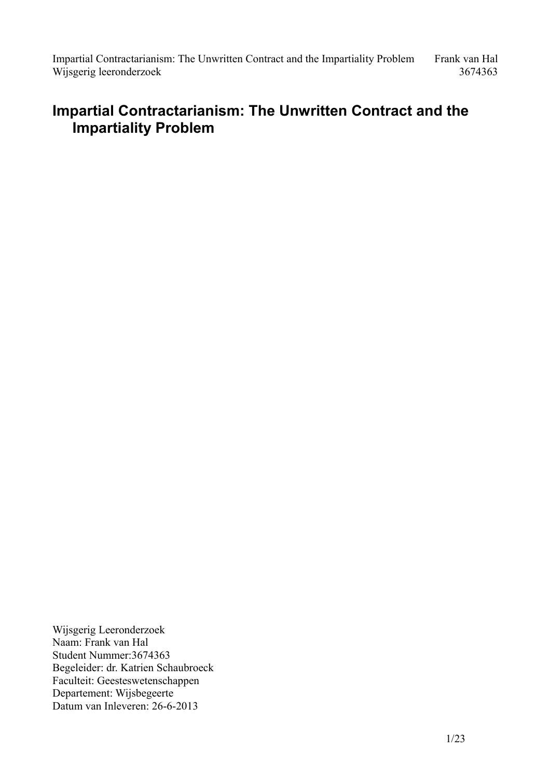# **Impartial Contractarianism: The Unwritten Contract and the Impartiality Problem**

Wijsgerig Leeronderzoek Naam: Frank van Hal Student Nummer:3674363 Begeleider: dr. Katrien Schaubroeck Faculteit: Geesteswetenschappen Departement: Wijsbegeerte Datum van Inleveren: 26-6-2013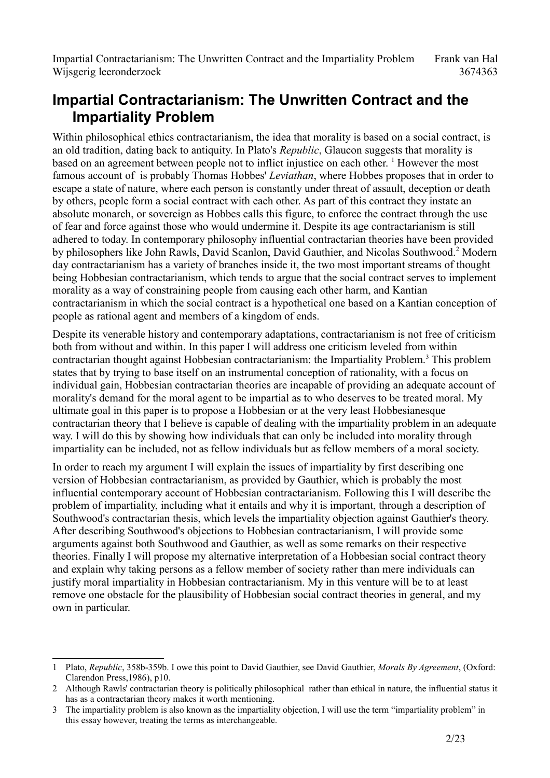# **Impartial Contractarianism: The Unwritten Contract and the Impartiality Problem**

Within philosophical ethics contractarianism, the idea that morality is based on a social contract, is an old tradition, dating back to antiquity. In Plato's *Republic*, Glaucon suggests that morality is based on an agreement between people not to inflict injustice on each other. <sup>[1](#page-1-0)</sup> However the most famous account of is probably Thomas Hobbes' *Leviathan*, where Hobbes proposes that in order to escape a state of nature, where each person is constantly under threat of assault, deception or death by others, people form a social contract with each other. As part of this contract they instate an absolute monarch, or sovereign as Hobbes calls this figure, to enforce the contract through the use of fear and force against those who would undermine it. Despite its age contractarianism is still adhered to today. In contemporary philosophy influential contractarian theories have been provided by philosophers like John Rawls, David Scanlon, David Gauthier, and Nicolas Southwood.<sup>[2](#page-1-1)</sup> Modern day contractarianism has a variety of branches inside it, the two most important streams of thought being Hobbesian contractarianism, which tends to argue that the social contract serves to implement morality as a way of constraining people from causing each other harm, and Kantian contractarianism in which the social contract is a hypothetical one based on a Kantian conception of people as rational agent and members of a kingdom of ends.

Despite its venerable history and contemporary adaptations, contractarianism is not free of criticism both from without and within. In this paper I will address one criticism leveled from within contractarian thought against Hobbesian contractarianism: the Impartiality Problem.<sup>[3](#page-1-2)</sup> This problem states that by trying to base itself on an instrumental conception of rationality, with a focus on individual gain, Hobbesian contractarian theories are incapable of providing an adequate account of morality's demand for the moral agent to be impartial as to who deserves to be treated moral. My ultimate goal in this paper is to propose a Hobbesian or at the very least Hobbesianesque contractarian theory that I believe is capable of dealing with the impartiality problem in an adequate way. I will do this by showing how individuals that can only be included into morality through impartiality can be included, not as fellow individuals but as fellow members of a moral society.

In order to reach my argument I will explain the issues of impartiality by first describing one version of Hobbesian contractarianism, as provided by Gauthier, which is probably the most influential contemporary account of Hobbesian contractarianism. Following this I will describe the problem of impartiality, including what it entails and why it is important, through a description of Southwood's contractarian thesis, which levels the impartiality objection against Gauthier's theory. After describing Southwood's objections to Hobbesian contractarianism, I will provide some arguments against both Southwood and Gauthier, as well as some remarks on their respective theories. Finally I will propose my alternative interpretation of a Hobbesian social contract theory and explain why taking persons as a fellow member of society rather than mere individuals can justify moral impartiality in Hobbesian contractarianism. My in this venture will be to at least remove one obstacle for the plausibility of Hobbesian social contract theories in general, and my own in particular.

<span id="page-1-0"></span><sup>1</sup> Plato, *Republic*, 358b-359b. I owe this point to David Gauthier, see David Gauthier, *Morals By Agreement*, (Oxford: Clarendon Press,1986), p10.

<span id="page-1-1"></span><sup>2</sup> Although Rawls' contractarian theory is politically philosophical rather than ethical in nature, the influential status it has as a contractarian theory makes it worth mentioning.

<span id="page-1-2"></span><sup>3</sup> The impartiality problem is also known as the impartiality objection, I will use the term "impartiality problem" in this essay however, treating the terms as interchangeable.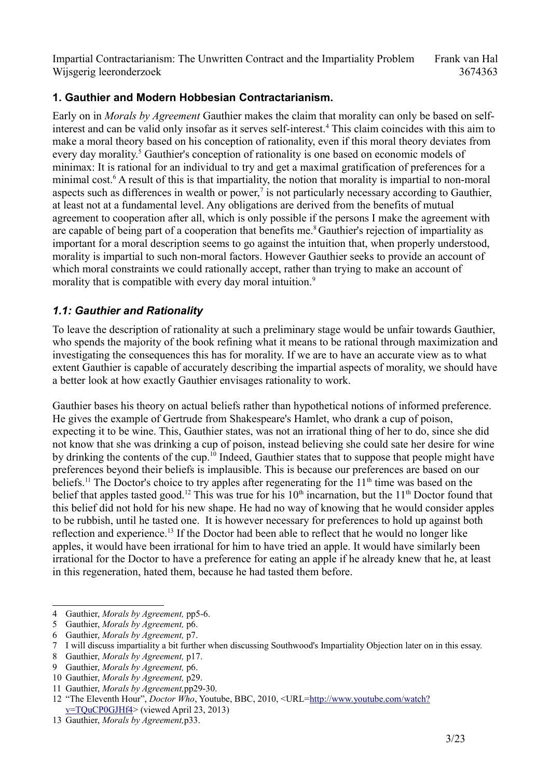## **1. Gauthier and Modern Hobbesian Contractarianism.**

Early on in *Morals by Agreement* Gauthier makes the claim that morality can only be based on self-interest and can be valid only insofar as it serves self-interest.<sup>[4](#page-2-0)</sup> This claim coincides with this aim to make a moral theory based on his conception of rationality, even if this moral theory deviates from every day morality.<sup>[5](#page-2-1)</sup> Gauthier's conception of rationality is one based on economic models of minimax: It is rational for an individual to try and get a maximal gratification of preferences for a minimal cost.<sup>[6](#page-2-2)</sup> A result of this is that impartiality, the notion that morality is impartial to non-moral aspects such as differences in wealth or power,<sup> $7$ </sup> is not particularly necessary according to Gauthier, at least not at a fundamental level. Any obligations are derived from the benefits of mutual agreement to cooperation after all, which is only possible if the persons I make the agreement with are capable of being part of a cooperation that benefits me.<sup>[8](#page-2-4)</sup> Gauthier's rejection of impartiality as important for a moral description seems to go against the intuition that, when properly understood, morality is impartial to such non-moral factors. However Gauthier seeks to provide an account of which moral constraints we could rationally accept, rather than trying to make an account of morality that is compatible with every day moral intuition.<sup>[9](#page-2-5)</sup>

## *1.1: Gauthier and Rationality*

To leave the description of rationality at such a preliminary stage would be unfair towards Gauthier, who spends the majority of the book refining what it means to be rational through maximization and investigating the consequences this has for morality. If we are to have an accurate view as to what extent Gauthier is capable of accurately describing the impartial aspects of morality, we should have a better look at how exactly Gauthier envisages rationality to work.

Gauthier bases his theory on actual beliefs rather than hypothetical notions of informed preference. He gives the example of Gertrude from Shakespeare's Hamlet, who drank a cup of poison, expecting it to be wine. This, Gauthier states, was not an irrational thing of her to do, since she did not know that she was drinking a cup of poison, instead believing she could sate her desire for wine by drinking the contents of the cup.[10](#page-2-6) Indeed, Gauthier states that to suppose that people might have preferences beyond their beliefs is implausible. This is because our preferences are based on our beliefs.<sup>[11](#page-2-7)</sup> The Doctor's choice to try apples after regenerating for the  $11<sup>th</sup>$  time was based on the belief that apples tasted good.<sup>[12](#page-2-8)</sup> This was true for his  $10<sup>th</sup>$  incarnation, but the  $11<sup>th</sup>$  Doctor found that this belief did not hold for his new shape. He had no way of knowing that he would consider apples to be rubbish, until he tasted one. It is however necessary for preferences to hold up against both reflection and experience.<sup>[13](#page-2-9)</sup> If the Doctor had been able to reflect that he would no longer like apples, it would have been irrational for him to have tried an apple. It would have similarly been irrational for the Doctor to have a preference for eating an apple if he already knew that he, at least in this regeneration, hated them, because he had tasted them before.

<span id="page-2-0"></span><sup>4</sup> Gauthier, *Morals by Agreement,* pp5-6.

<span id="page-2-1"></span><sup>5</sup> Gauthier, *Morals by Agreement,* p6.

<span id="page-2-2"></span><sup>6</sup> Gauthier, *Morals by Agreement,* p7.

<span id="page-2-3"></span><sup>7</sup> I will discuss impartiality a bit further when discussing Southwood's Impartiality Objection later on in this essay.

<span id="page-2-4"></span><sup>8</sup> Gauthier, *Morals by Agreement,* p17.

<span id="page-2-5"></span><sup>9</sup> Gauthier, *Morals by Agreement,* p6.

<span id="page-2-6"></span><sup>10</sup> Gauthier, *Morals by Agreement,* p29.

<span id="page-2-7"></span><sup>11</sup> Gauthier, *Morals by Agreement,*pp29-30.

<span id="page-2-8"></span><sup>12</sup> "The Eleventh Hour", *Doctor Who*, Youtube, BBC, 2010, <URL[=http://www.youtube.com/watch?](http://www.youtube.com/watch?v=TQuCP0GJHf4) [v=TQuCP0GJHf4>](http://www.youtube.com/watch?v=TQuCP0GJHf4) (viewed April 23, 2013)

<span id="page-2-9"></span><sup>13</sup> Gauthier, *Morals by Agreement,*p33.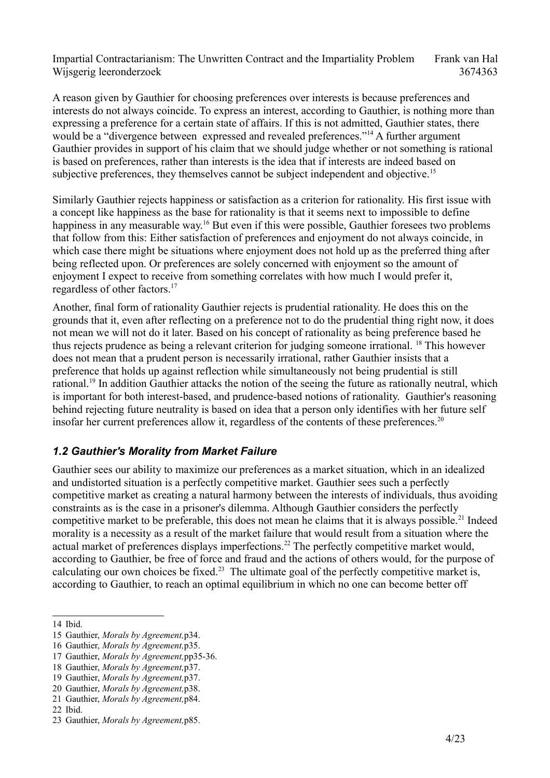A reason given by Gauthier for choosing preferences over interests is because preferences and interests do not always coincide. To express an interest, according to Gauthier, is nothing more than expressing a preference for a certain state of affairs. If this is not admitted, Gauthier states, there would be a "divergence between expressed and revealed preferences."<sup>[14](#page-3-0)</sup> A further argument Gauthier provides in support of his claim that we should judge whether or not something is rational is based on preferences, rather than interests is the idea that if interests are indeed based on subjective preferences, they themselves cannot be subject independent and objective.<sup>[15](#page-3-1)</sup>

Similarly Gauthier rejects happiness or satisfaction as a criterion for rationality. His first issue with a concept like happiness as the base for rationality is that it seems next to impossible to define happiness in any measurable way.<sup>[16](#page-3-2)</sup> But even if this were possible, Gauthier foresees two problems that follow from this: Either satisfaction of preferences and enjoyment do not always coincide, in which case there might be situations where enjoyment does not hold up as the preferred thing after being reflected upon. Or preferences are solely concerned with enjoyment so the amount of enjoyment I expect to receive from something correlates with how much I would prefer it, regardless of other factors.[17](#page-3-3)

Another, final form of rationality Gauthier rejects is prudential rationality. He does this on the grounds that it, even after reflecting on a preference not to do the prudential thing right now, it does not mean we will not do it later. Based on his concept of rationality as being preference based he thus rejects prudence as being a relevant criterion for judging someone irrational. [18](#page-3-4) This however does not mean that a prudent person is necessarily irrational, rather Gauthier insists that a preference that holds up against reflection while simultaneously not being prudential is still rational.[19](#page-3-5) In addition Gauthier attacks the notion of the seeing the future as rationally neutral, which is important for both interest-based, and prudence-based notions of rationality. Gauthier's reasoning behind rejecting future neutrality is based on idea that a person only identifies with her future self insofar her current preferences allow it, regardless of the contents of these preferences.<sup>[20](#page-3-6)</sup>

## *1.2 Gauthier's Morality from Market Failure*

Gauthier sees our ability to maximize our preferences as a market situation, which in an idealized and undistorted situation is a perfectly competitive market. Gauthier sees such a perfectly competitive market as creating a natural harmony between the interests of individuals, thus avoiding constraints as is the case in a prisoner's dilemma. Although Gauthier considers the perfectly competitive market to be preferable, this does not mean he claims that it is always possible.<sup>[21](#page-3-7)</sup> Indeed morality is a necessity as a result of the market failure that would result from a situation where the actual market of preferences displays imperfections.<sup>[22](#page-3-8)</sup> The perfectly competitive market would, according to Gauthier, be free of force and fraud and the actions of others would, for the purpose of calculating our own choices be fixed.<sup>[23](#page-3-9)</sup> The ultimate goal of the perfectly competitive market is, according to Gauthier, to reach an optimal equilibrium in which no one can become better off

<span id="page-3-0"></span><sup>14</sup> Ibid.

<span id="page-3-1"></span><sup>15</sup> Gauthier, *Morals by Agreement,*p34.

<span id="page-3-2"></span><sup>16</sup> Gauthier, *Morals by Agreement,*p35.

<span id="page-3-3"></span><sup>17</sup> Gauthier, *Morals by Agreement,*pp35-36.

<span id="page-3-4"></span><sup>18</sup> Gauthier, *Morals by Agreement,*p37.

<span id="page-3-5"></span><sup>19</sup> Gauthier, *Morals by Agreement,*p37.

<span id="page-3-6"></span><sup>20</sup> Gauthier, *Morals by Agreement,*p38.

<span id="page-3-7"></span><sup>21</sup> Gauthier, *Morals by Agreement,*p84.

<span id="page-3-8"></span><sup>22</sup> Ibid.

<span id="page-3-9"></span><sup>23</sup> Gauthier, *Morals by Agreement,*p85.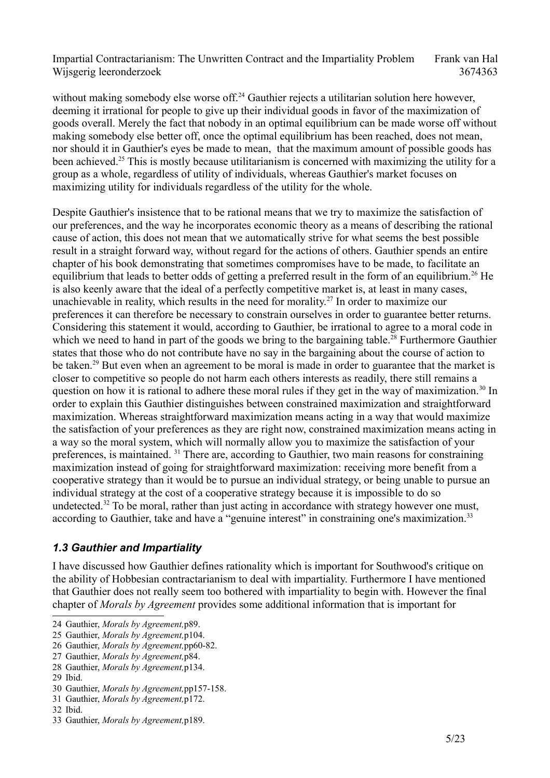without making somebody else worse off.<sup>[24](#page-4-0)</sup> Gauthier rejects a utilitarian solution here however. deeming it irrational for people to give up their individual goods in favor of the maximization of goods overall. Merely the fact that nobody in an optimal equilibrium can be made worse off without making somebody else better off, once the optimal equilibrium has been reached, does not mean, nor should it in Gauthier's eyes be made to mean, that the maximum amount of possible goods has been achieved.<sup>[25](#page-4-1)</sup> This is mostly because utilitarianism is concerned with maximizing the utility for a group as a whole, regardless of utility of individuals, whereas Gauthier's market focuses on maximizing utility for individuals regardless of the utility for the whole.

Despite Gauthier's insistence that to be rational means that we try to maximize the satisfaction of our preferences, and the way he incorporates economic theory as a means of describing the rational cause of action, this does not mean that we automatically strive for what seems the best possible result in a straight forward way, without regard for the actions of others. Gauthier spends an entire chapter of his book demonstrating that sometimes compromises have to be made, to facilitate an equilibrium that leads to better odds of getting a preferred result in the form of an equilibrium.<sup>[26](#page-4-2)</sup> He is also keenly aware that the ideal of a perfectly competitive market is, at least in many cases, unachievable in reality, which results in the need for morality.<sup>[27](#page-4-3)</sup> In order to maximize our preferences it can therefore be necessary to constrain ourselves in order to guarantee better returns. Considering this statement it would, according to Gauthier, be irrational to agree to a moral code in which we need to hand in part of the goods we bring to the bargaining table.<sup>[28](#page-4-4)</sup> Furthermore Gauthier states that those who do not contribute have no say in the bargaining about the course of action to be taken.<sup>[29](#page-4-5)</sup> But even when an agreement to be moral is made in order to guarantee that the market is closer to competitive so people do not harm each others interests as readily, there still remains a question on how it is rational to adhere these moral rules if they get in the way of maximization.<sup>[30](#page-4-6)</sup> In order to explain this Gauthier distinguishes between constrained maximization and straightforward maximization. Whereas straightforward maximization means acting in a way that would maximize the satisfaction of your preferences as they are right now, constrained maximization means acting in a way so the moral system, which will normally allow you to maximize the satisfaction of your preferences, is maintained. [31](#page-4-7) There are, according to Gauthier, two main reasons for constraining maximization instead of going for straightforward maximization: receiving more benefit from a cooperative strategy than it would be to pursue an individual strategy, or being unable to pursue an individual strategy at the cost of a cooperative strategy because it is impossible to do so undetected.<sup>[32](#page-4-8)</sup> To be moral, rather than just acting in accordance with strategy however one must, according to Gauthier, take and have a "genuine interest" in constraining one's maximization.<sup>[33](#page-4-9)</sup>

#### *1.3 Gauthier and Impartiality*

I have discussed how Gauthier defines rationality which is important for Southwood's critique on the ability of Hobbesian contractarianism to deal with impartiality. Furthermore I have mentioned that Gauthier does not really seem too bothered with impartiality to begin with. However the final chapter of *Morals by Agreement* provides some additional information that is important for

<span id="page-4-0"></span><sup>24</sup> Gauthier, *Morals by Agreement,*p89.

<span id="page-4-1"></span><sup>25</sup> Gauthier, *Morals by Agreement,*p104.

<span id="page-4-2"></span><sup>26</sup> Gauthier, *Morals by Agreement,*pp60-82.

<span id="page-4-3"></span><sup>27</sup> Gauthier, *Morals by Agreement,*p84.

<span id="page-4-4"></span><sup>28</sup> Gauthier, *Morals by Agreement,*p134.

<span id="page-4-5"></span><sup>29</sup> Ibid.

<span id="page-4-6"></span><sup>30</sup> Gauthier, *Morals by Agreement,*pp157-158.

<span id="page-4-7"></span><sup>31</sup> Gauthier, *Morals by Agreement,*p172.

<span id="page-4-8"></span><sup>32</sup> Ibid.

<span id="page-4-9"></span><sup>33</sup> Gauthier, *Morals by Agreement,*p189.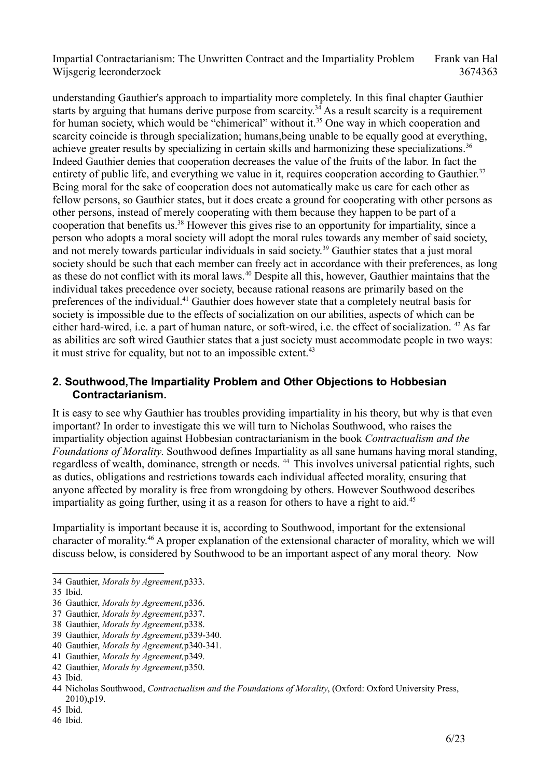understanding Gauthier's approach to impartiality more completely. In this final chapter Gauthier starts by arguing that humans derive purpose from scarcity.<sup>[34](#page-5-0)</sup> As a result scarcity is a requirement for human society, which would be "chimerical" without it.<sup>[35](#page-5-1)</sup> One way in which cooperation and scarcity coincide is through specialization; humans,being unable to be equally good at everything, achieve greater results by specializing in certain skills and harmonizing these specializations.<sup>[36](#page-5-2)</sup> Indeed Gauthier denies that cooperation decreases the value of the fruits of the labor. In fact the entirety of public life, and everything we value in it, requires cooperation according to Gauthier.<sup>[37](#page-5-3)</sup> Being moral for the sake of cooperation does not automatically make us care for each other as fellow persons, so Gauthier states, but it does create a ground for cooperating with other persons as other persons, instead of merely cooperating with them because they happen to be part of a cooperation that benefits us.[38](#page-5-4) However this gives rise to an opportunity for impartiality, since a person who adopts a moral society will adopt the moral rules towards any member of said society, and not merely towards particular individuals in said society.<sup>[39](#page-5-5)</sup> Gauthier states that a just moral society should be such that each member can freely act in accordance with their preferences, as long as these do not conflict with its moral laws.<sup>[40](#page-5-6)</sup> Despite all this, however, Gauthier maintains that the individual takes precedence over society, because rational reasons are primarily based on the preferences of the individual.<sup>[41](#page-5-7)</sup> Gauthier does however state that a completely neutral basis for society is impossible due to the effects of socialization on our abilities, aspects of which can be either hard-wired, i.e. a part of human nature, or soft-wired, i.e. the effect of socialization. [42](#page-5-8) As far as abilities are soft wired Gauthier states that a just society must accommodate people in two ways: it must strive for equality, but not to an impossible extent.<sup>[43](#page-5-9)</sup>

#### **2. Southwood,The Impartiality Problem and Other Objections to Hobbesian Contractarianism.**

It is easy to see why Gauthier has troubles providing impartiality in his theory, but why is that even important? In order to investigate this we will turn to Nicholas Southwood, who raises the impartiality objection against Hobbesian contractarianism in the book *Contractualism and the Foundations of Morality*. Southwood defines Impartiality as all sane humans having moral standing, regardless of wealth, dominance, strength or needs. <sup>[44](#page-5-10)</sup> This involves universal patiential rights, such as duties, obligations and restrictions towards each individual affected morality, ensuring that anyone affected by morality is free from wrongdoing by others. However Southwood describes impartiality as going further, using it as a reason for others to have a right to aid.<sup>[45](#page-5-11)</sup>

Impartiality is important because it is, according to Southwood, important for the extensional character of morality.[46](#page-5-12) A proper explanation of the extensional character of morality, which we will discuss below, is considered by Southwood to be an important aspect of any moral theory. Now

<span id="page-5-5"></span>39 Gauthier, *Morals by Agreement,*p339-340.

<span id="page-5-0"></span><sup>34</sup> Gauthier, *Morals by Agreement,*p333.

<span id="page-5-1"></span><sup>35</sup> Ibid.

<span id="page-5-2"></span><sup>36</sup> Gauthier, *Morals by Agreement,*p336.

<span id="page-5-3"></span><sup>37</sup> Gauthier, *Morals by Agreement,*p337.

<span id="page-5-4"></span><sup>38</sup> Gauthier, *Morals by Agreement,*p338.

<span id="page-5-6"></span><sup>40</sup> Gauthier, *Morals by Agreement,*p340-341.

<span id="page-5-7"></span><sup>41</sup> Gauthier, *Morals by Agreement,*p349.

<span id="page-5-8"></span><sup>42</sup> Gauthier, *Morals by Agreement,*p350.

<span id="page-5-9"></span><sup>43</sup> Ibid.

<span id="page-5-10"></span><sup>44</sup> Nicholas Southwood, *Contractualism and the Foundations of Morality*, (Oxford: Oxford University Press, 2010),p19.

<span id="page-5-12"></span><span id="page-5-11"></span><sup>45</sup> Ibid. 46 Ibid.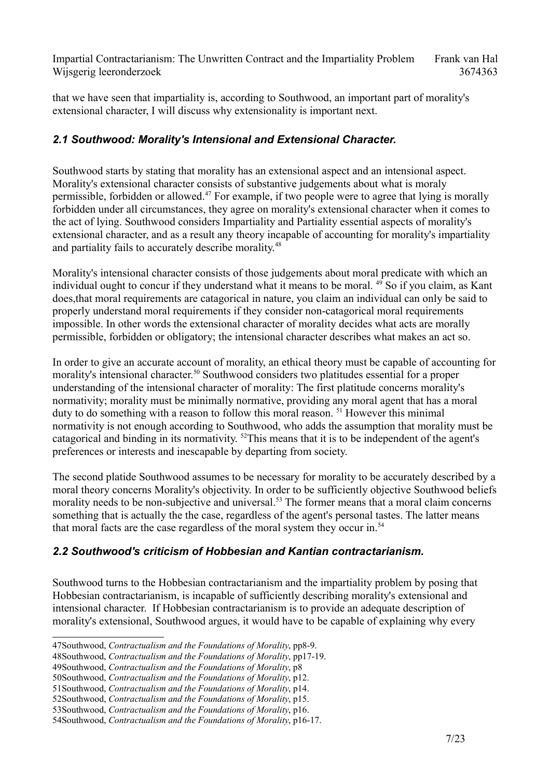that we have seen that impartiality is, according to Southwood, an important part of morality's extensional character, I will discuss why extensionality is important next.

## *2.1 Southwood: Morality's Intensional and Extensional Character.*

Southwood starts by stating that morality has an extensional aspect and an intensional aspect. Morality's extensional character consists of substantive judgements about what is moraly permissible, forbidden or allowed.<sup>[47](#page-6-0)</sup> For example, if two people were to agree that lying is morally forbidden under all circumstances, they agree on morality's extensional character when it comes to the act of lying. Southwood considers Impartiality and Partiality essential aspects of morality's extensional character, and as a result any theory incapable of accounting for morality's impartiality and partiality fails to accurately describe morality.<sup>[48](#page-6-1)</sup>

Morality's intensional character consists of those judgements about moral predicate with which an individual ought to concur if they understand what it means to be moral. <sup>[49](#page-6-2)</sup> So if you claim, as Kant does,that moral requirements are catagorical in nature, you claim an individual can only be said to properly understand moral requirements if they consider non-catagorical moral requirements impossible. In other words the extensional character of morality decides what acts are morally permissible, forbidden or obligatory; the intensional character describes what makes an act so.

In order to give an accurate account of morality, an ethical theory must be capable of accounting for morality's intensional character.<sup>[50](#page-6-3)</sup> Southwood considers two platitudes essential for a proper understanding of the intensional character of morality: The first platitude concerns morality's normativity; morality must be minimally normative, providing any moral agent that has a moral duty to do something with a reason to follow this moral reason.<sup>[51](#page-6-4)</sup> However this minimal normativity is not enough according to Southwood, who adds the assumption that morality must be catagorical and binding in its normativity. [52](#page-6-5)This means that it is to be independent of the agent's preferences or interests and inescapable by departing from society.

The second platide Southwood assumes to be necessary for morality to be accurately described by a moral theory concerns Morality's objectivity. In order to be sufficiently objective Southwood beliefs morality needs to be non-subjective and universal.<sup>[53](#page-6-6)</sup> The former means that a moral claim concerns something that is actually the the case, regardless of the agent's personal tastes. The latter means that moral facts are the case regardless of the moral system they occur in.<sup>[54](#page-6-7)</sup>

## *2.2 Southwood's criticism of Hobbesian and Kantian contractarianism.*

Southwood turns to the Hobbesian contractarianism and the impartiality problem by posing that Hobbesian contractarianism, is incapable of sufficiently describing morality's extensional and intensional character. If Hobbesian contractarianism is to provide an adequate description of morality's extensional, Southwood argues, it would have to be capable of explaining why every

<span id="page-6-0"></span><sup>47</sup>Southwood, *Contractualism and the Foundations of Morality*, pp8-9.

<span id="page-6-1"></span><sup>48</sup>Southwood, *Contractualism and the Foundations of Morality*, pp17-19.

<span id="page-6-2"></span><sup>49</sup>Southwood, *Contractualism and the Foundations of Morality*, p8

<span id="page-6-3"></span><sup>50</sup>Southwood, *Contractualism and the Foundations of Morality*, p12.

<span id="page-6-4"></span><sup>51</sup>Southwood, *Contractualism and the Foundations of Morality*, p14.

<span id="page-6-5"></span><sup>52</sup>Southwood, *Contractualism and the Foundations of Morality*, p15.

<span id="page-6-6"></span><sup>53</sup>Southwood, *Contractualism and the Foundations of Morality*, p16.

<span id="page-6-7"></span><sup>54</sup>Southwood, *Contractualism and the Foundations of Morality*, p16-17.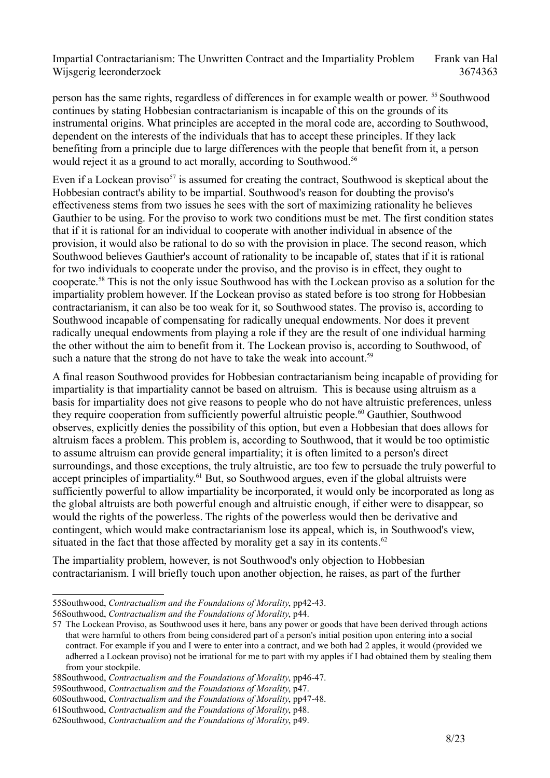person has the same rights, regardless of differences in for example wealth or power. [55](#page-7-0) Southwood continues by stating Hobbesian contractarianism is incapable of this on the grounds of its instrumental origins. What principles are accepted in the moral code are, according to Southwood, dependent on the interests of the individuals that has to accept these principles. If they lack benefiting from a principle due to large differences with the people that benefit from it, a person would reject it as a ground to act morally, according to Southwood.<sup>[56](#page-7-1)</sup>

Even if a Lockean proviso<sup>[57](#page-7-2)</sup> is assumed for creating the contract, Southwood is skeptical about the Hobbesian contract's ability to be impartial. Southwood's reason for doubting the proviso's effectiveness stems from two issues he sees with the sort of maximizing rationality he believes Gauthier to be using. For the proviso to work two conditions must be met. The first condition states that if it is rational for an individual to cooperate with another individual in absence of the provision, it would also be rational to do so with the provision in place. The second reason, which Southwood believes Gauthier's account of rationality to be incapable of, states that if it is rational for two individuals to cooperate under the proviso, and the proviso is in effect, they ought to cooperate.[58](#page-7-3) This is not the only issue Southwood has with the Lockean proviso as a solution for the impartiality problem however. If the Lockean proviso as stated before is too strong for Hobbesian contractarianism, it can also be too weak for it, so Southwood states. The proviso is, according to Southwood incapable of compensating for radically unequal endowments. Nor does it prevent radically unequal endowments from playing a role if they are the result of one individual harming the other without the aim to benefit from it. The Lockean proviso is, according to Southwood, of such a nature that the strong do not have to take the weak into account.<sup>[59](#page-7-4)</sup>

A final reason Southwood provides for Hobbesian contractarianism being incapable of providing for impartiality is that impartiality cannot be based on altruism. This is because using altruism as a basis for impartiality does not give reasons to people who do not have altruistic preferences, unless they require cooperation from sufficiently powerful altruistic people.<sup>[60](#page-7-5)</sup> Gauthier, Southwood observes, explicitly denies the possibility of this option, but even a Hobbesian that does allows for altruism faces a problem. This problem is, according to Southwood, that it would be too optimistic to assume altruism can provide general impartiality; it is often limited to a person's direct surroundings, and those exceptions, the truly altruistic, are too few to persuade the truly powerful to accept principles of impartiality.<sup>[61](#page-7-6)</sup> But, so Southwood argues, even if the global altruists were sufficiently powerful to allow impartiality be incorporated, it would only be incorporated as long as the global altruists are both powerful enough and altruistic enough, if either were to disappear, so would the rights of the powerless. The rights of the powerless would then be derivative and contingent, which would make contractarianism lose its appeal, which is, in Southwood's view, situated in the fact that those affected by morality get a say in its contents.<sup>[62](#page-7-7)</sup>

The impartiality problem, however, is not Southwood's only objection to Hobbesian contractarianism. I will briefly touch upon another objection, he raises, as part of the further

<span id="page-7-0"></span><sup>55</sup>Southwood, *Contractualism and the Foundations of Morality*, pp42-43.

<span id="page-7-1"></span><sup>56</sup>Southwood, *Contractualism and the Foundations of Morality*, p44.

<span id="page-7-2"></span><sup>57</sup> The Lockean Proviso, as Southwood uses it here, bans any power or goods that have been derived through actions that were harmful to others from being considered part of a person's initial position upon entering into a social contract. For example if you and I were to enter into a contract, and we both had 2 apples, it would (provided we adherred a Lockean proviso) not be irrational for me to part with my apples if I had obtained them by stealing them from your stockpile.

<span id="page-7-3"></span><sup>58</sup>Southwood, *Contractualism and the Foundations of Morality*, pp46-47.

<span id="page-7-4"></span><sup>59</sup>Southwood, *Contractualism and the Foundations of Morality*, p47.

<span id="page-7-5"></span><sup>60</sup>Southwood, *Contractualism and the Foundations of Morality*, pp47-48.

<span id="page-7-6"></span><sup>61</sup>Southwood, *Contractualism and the Foundations of Morality*, p48.

<span id="page-7-7"></span><sup>62</sup>Southwood, *Contractualism and the Foundations of Morality*, p49.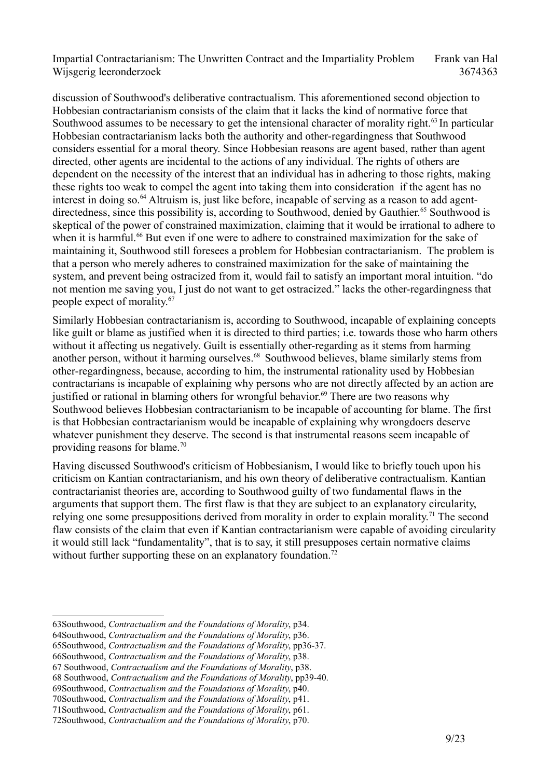discussion of Southwood's deliberative contractualism. This aforementioned second objection to Hobbesian contractarianism consists of the claim that it lacks the kind of normative force that Southwood assumes to be necessary to get the intensional character of morality right.<sup>[63](#page-8-0)</sup> In particular Hobbesian contractarianism lacks both the authority and other-regardingness that Southwood considers essential for a moral theory. Since Hobbesian reasons are agent based, rather than agent directed, other agents are incidental to the actions of any individual. The rights of others are dependent on the necessity of the interest that an individual has in adhering to those rights, making these rights too weak to compel the agent into taking them into consideration if the agent has no interest in doing so.<sup>[64](#page-8-1)</sup> Altruism is, just like before, incapable of serving as a reason to add agent-directedness, since this possibility is, according to Southwood, denied by Gauthier.<sup>[65](#page-8-2)</sup> Southwood is skeptical of the power of constrained maximization, claiming that it would be irrational to adhere to when it is harmful.<sup>[66](#page-8-3)</sup> But even if one were to adhere to constrained maximization for the sake of maintaining it, Southwood still foresees a problem for Hobbesian contractarianism. The problem is that a person who merely adheres to constrained maximization for the sake of maintaining the system, and prevent being ostracized from it, would fail to satisfy an important moral intuition. "do not mention me saving you, I just do not want to get ostracized." lacks the other-regardingness that people expect of morality.[67](#page-8-4)

Similarly Hobbesian contractarianism is, according to Southwood, incapable of explaining concepts like guilt or blame as justified when it is directed to third parties; i.e. towards those who harm others without it affecting us negatively. Guilt is essentially other-regarding as it stems from harming another person, without it harming ourselves.<sup>68</sup> Southwood believes, blame similarly stems from other-regardingness, because, according to him, the instrumental rationality used by Hobbesian contractarians is incapable of explaining why persons who are not directly affected by an action are justified or rational in blaming others for wrongful behavior.<sup>[69](#page-8-6)</sup> There are two reasons why Southwood believes Hobbesian contractarianism to be incapable of accounting for blame. The first is that Hobbesian contractarianism would be incapable of explaining why wrongdoers deserve whatever punishment they deserve. The second is that instrumental reasons seem incapable of providing reasons for blame.[70](#page-8-7)

Having discussed Southwood's criticism of Hobbesianism, I would like to briefly touch upon his criticism on Kantian contractarianism, and his own theory of deliberative contractualism. Kantian contractarianist theories are, according to Southwood guilty of two fundamental flaws in the arguments that support them. The first flaw is that they are subject to an explanatory circularity, relying one some presuppositions derived from morality in order to explain morality.<sup>[71](#page-8-8)</sup> The second flaw consists of the claim that even if Kantian contractarianism were capable of avoiding circularity it would still lack "fundamentality", that is to say, it still presupposes certain normative claims without further supporting these on an explanatory foundation.<sup>[72](#page-8-9)</sup>

<span id="page-8-3"></span>66Southwood, *Contractualism and the Foundations of Morality*, p38.

<span id="page-8-0"></span><sup>63</sup>Southwood, *Contractualism and the Foundations of Morality*, p34.

<span id="page-8-1"></span><sup>64</sup>Southwood, *Contractualism and the Foundations of Morality*, p36.

<span id="page-8-2"></span><sup>65</sup>Southwood, *Contractualism and the Foundations of Morality*, pp36-37.

<span id="page-8-4"></span><sup>67</sup> Southwood, *Contractualism and the Foundations of Morality*, p38.

<span id="page-8-5"></span><sup>68</sup> Southwood, *Contractualism and the Foundations of Morality*, pp39-40.

<span id="page-8-6"></span><sup>69</sup>Southwood, *Contractualism and the Foundations of Morality*, p40.

<span id="page-8-7"></span><sup>70</sup>Southwood, *Contractualism and the Foundations of Morality*, p41.

<span id="page-8-8"></span><sup>71</sup>Southwood, *Contractualism and the Foundations of Morality*, p61.

<span id="page-8-9"></span><sup>72</sup>Southwood, *Contractualism and the Foundations of Morality*, p70.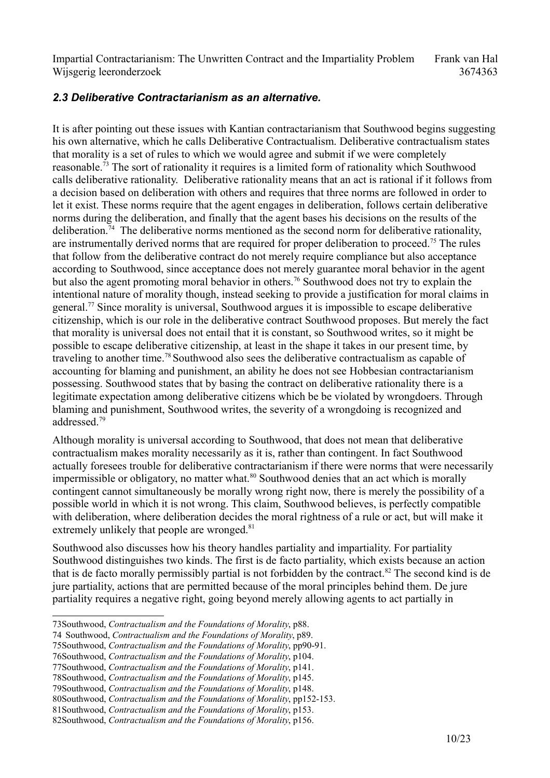#### *2.3 Deliberative Contractarianism as an alternative.*

It is after pointing out these issues with Kantian contractarianism that Southwood begins suggesting his own alternative, which he calls Deliberative Contractualism. Deliberative contractualism states that morality is a set of rules to which we would agree and submit if we were completely reasonable.[73](#page-9-0) The sort of rationality it requires is a limited form of rationality which Southwood calls deliberative rationality. Deliberative rationality means that an act is rational if it follows from a decision based on deliberation with others and requires that three norms are followed in order to let it exist. These norms require that the agent engages in deliberation, follows certain deliberative norms during the deliberation, and finally that the agent bases his decisions on the results of the deliberation.<sup>[74](#page-9-1)</sup> The deliberative norms mentioned as the second norm for deliberative rationality, are instrumentally derived norms that are required for proper deliberation to proceed.<sup>[75](#page-9-2)</sup> The rules that follow from the deliberative contract do not merely require compliance but also acceptance according to Southwood, since acceptance does not merely guarantee moral behavior in the agent but also the agent promoting moral behavior in others.<sup>[76](#page-9-3)</sup> Southwood does not try to explain the intentional nature of morality though, instead seeking to provide a justification for moral claims in general.<sup>[77](#page-9-4)</sup> Since morality is universal, Southwood argues it is impossible to escape deliberative citizenship, which is our role in the deliberative contract Southwood proposes. But merely the fact that morality is universal does not entail that it is constant, so Southwood writes, so it might be possible to escape deliberative citizenship, at least in the shape it takes in our present time, by traveling to another time.<sup>[78](#page-9-5)</sup> Southwood also sees the deliberative contractualism as capable of accounting for blaming and punishment, an ability he does not see Hobbesian contractarianism possessing. Southwood states that by basing the contract on deliberative rationality there is a legitimate expectation among deliberative citizens which be be violated by wrongdoers. Through blaming and punishment, Southwood writes, the severity of a wrongdoing is recognized and addressed<sup>[79](#page-9-6)</sup>

Although morality is universal according to Southwood, that does not mean that deliberative contractualism makes morality necessarily as it is, rather than contingent. In fact Southwood actually foresees trouble for deliberative contractarianism if there were norms that were necessarily impermissible or obligatory, no matter what.<sup>[80](#page-9-7)</sup> Southwood denies that an act which is morally contingent cannot simultaneously be morally wrong right now, there is merely the possibility of a possible world in which it is not wrong. This claim, Southwood believes, is perfectly compatible with deliberation, where deliberation decides the moral rightness of a rule or act, but will make it extremely unlikely that people are wronged.<sup>[81](#page-9-8)</sup>

Southwood also discusses how his theory handles partiality and impartiality. For partiality Southwood distinguishes two kinds. The first is de facto partiality, which exists because an action that is de facto morally permissibly partial is not forbidden by the contract.<sup>[82](#page-9-9)</sup> The second kind is de jure partiality, actions that are permitted because of the moral principles behind them. De jure partiality requires a negative right, going beyond merely allowing agents to act partially in

<span id="page-9-0"></span><sup>73</sup>Southwood, *Contractualism and the Foundations of Morality*, p88.

<span id="page-9-1"></span><sup>74</sup> Southwood, *Contractualism and the Foundations of Morality*, p89.

<span id="page-9-2"></span><sup>75</sup>Southwood, *Contractualism and the Foundations of Morality*, pp90-91.

<span id="page-9-3"></span><sup>76</sup>Southwood, *Contractualism and the Foundations of Morality*, p104.

<span id="page-9-4"></span><sup>77</sup>Southwood, *Contractualism and the Foundations of Morality*, p141.

<span id="page-9-5"></span><sup>78</sup>Southwood, *Contractualism and the Foundations of Morality*, p145.

<span id="page-9-6"></span><sup>79</sup>Southwood, *Contractualism and the Foundations of Morality*, p148.

<span id="page-9-7"></span><sup>80</sup>Southwood, *Contractualism and the Foundations of Morality*, pp152-153.

<span id="page-9-9"></span><span id="page-9-8"></span><sup>81</sup>Southwood, *Contractualism and the Foundations of Morality*, p153. 82Southwood, *Contractualism and the Foundations of Morality*, p156.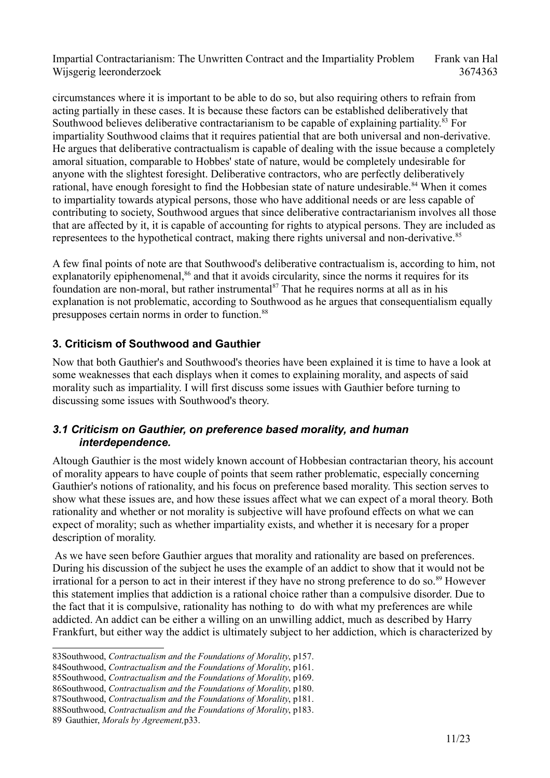circumstances where it is important to be able to do so, but also requiring others to refrain from acting partially in these cases. It is because these factors can be established deliberatively that Southwood believes deliberative contractarianism to be capable of explaining partiality.<sup>[83](#page-10-0)</sup> For impartiality Southwood claims that it requires patiential that are both universal and non-derivative. He argues that deliberative contractualism is capable of dealing with the issue because a completely amoral situation, comparable to Hobbes' state of nature, would be completely undesirable for anyone with the slightest foresight. Deliberative contractors, who are perfectly deliberatively rational, have enough foresight to find the Hobbesian state of nature undesirable.<sup>[84](#page-10-1)</sup> When it comes to impartiality towards atypical persons, those who have additional needs or are less capable of contributing to society, Southwood argues that since deliberative contractarianism involves all those that are affected by it, it is capable of accounting for rights to atypical persons. They are included as representees to the hypothetical contract, making there rights universal and non-derivative.<sup>[85](#page-10-2)</sup>

A few final points of note are that Southwood's deliberative contractualism is, according to him, not explanatorily epiphenomenal,<sup>[86](#page-10-3)</sup> and that it avoids circularity, since the norms it requires for its foundation are non-moral, but rather instrumental<sup>[87](#page-10-4)</sup> That he requires norms at all as in his explanation is not problematic, according to Southwood as he argues that consequentialism equally presupposes certain norms in order to function.[88](#page-10-5)

#### **3. Criticism of Southwood and Gauthier**

Now that both Gauthier's and Southwood's theories have been explained it is time to have a look at some weaknesses that each displays when it comes to explaining morality, and aspects of said morality such as impartiality. I will first discuss some issues with Gauthier before turning to discussing some issues with Southwood's theory.

#### *3.1 Criticism on Gauthier, on preference based morality, and human interdependence.*

Altough Gauthier is the most widely known account of Hobbesian contractarian theory, his account of morality appears to have couple of points that seem rather problematic, especially concerning Gauthier's notions of rationality, and his focus on preference based morality. This section serves to show what these issues are, and how these issues affect what we can expect of a moral theory. Both rationality and whether or not morality is subjective will have profound effects on what we can expect of morality; such as whether impartiality exists, and whether it is necesary for a proper description of morality.

 As we have seen before Gauthier argues that morality and rationality are based on preferences. During his discussion of the subject he uses the example of an addict to show that it would not be irrational for a person to act in their interest if they have no strong preference to do so.<sup>[89](#page-10-6)</sup> However this statement implies that addiction is a rational choice rather than a compulsive disorder. Due to the fact that it is compulsive, rationality has nothing to do with what my preferences are while addicted. An addict can be either a willing on an unwilling addict, much as described by Harry Frankfurt, but either way the addict is ultimately subject to her addiction, which is characterized by

<span id="page-10-0"></span><sup>83</sup>Southwood, *Contractualism and the Foundations of Morality*, p157.

<span id="page-10-1"></span><sup>84</sup>Southwood, *Contractualism and the Foundations of Morality*, p161.

<span id="page-10-2"></span><sup>85</sup>Southwood, *Contractualism and the Foundations of Morality*, p169.

<span id="page-10-3"></span><sup>86</sup>Southwood, *Contractualism and the Foundations of Morality*, p180.

<span id="page-10-4"></span><sup>87</sup>Southwood, *Contractualism and the Foundations of Morality*, p181.

<span id="page-10-5"></span><sup>88</sup>Southwood, *Contractualism and the Foundations of Morality*, p183.

<span id="page-10-6"></span><sup>89</sup> Gauthier, *Morals by Agreement,*p33.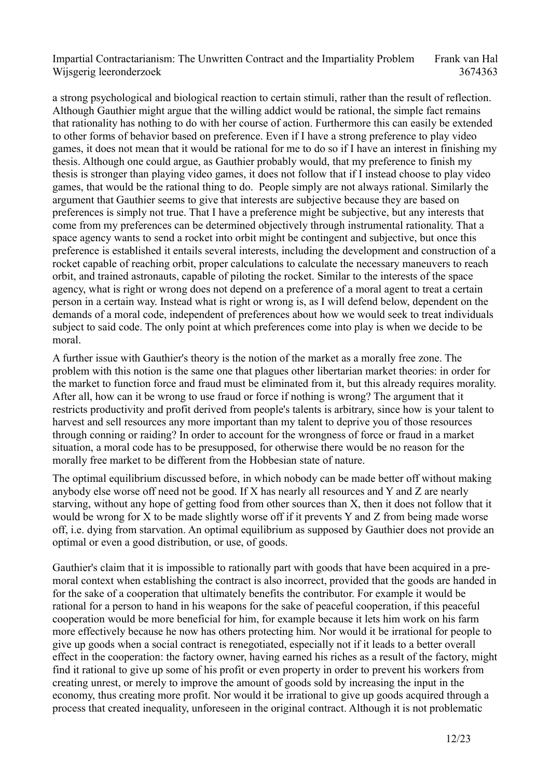a strong psychological and biological reaction to certain stimuli, rather than the result of reflection. Although Gauthier might argue that the willing addict would be rational, the simple fact remains that rationality has nothing to do with her course of action. Furthermore this can easily be extended to other forms of behavior based on preference. Even if I have a strong preference to play video games, it does not mean that it would be rational for me to do so if I have an interest in finishing my thesis. Although one could argue, as Gauthier probably would, that my preference to finish my thesis is stronger than playing video games, it does not follow that if I instead choose to play video games, that would be the rational thing to do. People simply are not always rational. Similarly the argument that Gauthier seems to give that interests are subjective because they are based on preferences is simply not true. That I have a preference might be subjective, but any interests that come from my preferences can be determined objectively through instrumental rationality. That a space agency wants to send a rocket into orbit might be contingent and subjective, but once this preference is established it entails several interests, including the development and construction of a rocket capable of reaching orbit, proper calculations to calculate the necessary maneuvers to reach orbit, and trained astronauts, capable of piloting the rocket. Similar to the interests of the space agency, what is right or wrong does not depend on a preference of a moral agent to treat a certain person in a certain way. Instead what is right or wrong is, as I will defend below, dependent on the demands of a moral code, independent of preferences about how we would seek to treat individuals subject to said code. The only point at which preferences come into play is when we decide to be moral.

A further issue with Gauthier's theory is the notion of the market as a morally free zone. The problem with this notion is the same one that plagues other libertarian market theories: in order for the market to function force and fraud must be eliminated from it, but this already requires morality. After all, how can it be wrong to use fraud or force if nothing is wrong? The argument that it restricts productivity and profit derived from people's talents is arbitrary, since how is your talent to harvest and sell resources any more important than my talent to deprive you of those resources through conning or raiding? In order to account for the wrongness of force or fraud in a market situation, a moral code has to be presupposed, for otherwise there would be no reason for the morally free market to be different from the Hobbesian state of nature.

The optimal equilibrium discussed before, in which nobody can be made better off without making anybody else worse off need not be good. If X has nearly all resources and Y and Z are nearly starving, without any hope of getting food from other sources than X, then it does not follow that it would be wrong for X to be made slightly worse off if it prevents Y and Z from being made worse off, i.e. dying from starvation. An optimal equilibrium as supposed by Gauthier does not provide an optimal or even a good distribution, or use, of goods.

Gauthier's claim that it is impossible to rationally part with goods that have been acquired in a premoral context when establishing the contract is also incorrect, provided that the goods are handed in for the sake of a cooperation that ultimately benefits the contributor. For example it would be rational for a person to hand in his weapons for the sake of peaceful cooperation, if this peaceful cooperation would be more beneficial for him, for example because it lets him work on his farm more effectively because he now has others protecting him. Nor would it be irrational for people to give up goods when a social contract is renegotiated, especially not if it leads to a better overall effect in the cooperation: the factory owner, having earned his riches as a result of the factory, might find it rational to give up some of his profit or even property in order to prevent his workers from creating unrest, or merely to improve the amount of goods sold by increasing the input in the economy, thus creating more profit. Nor would it be irrational to give up goods acquired through a process that created inequality, unforeseen in the original contract. Although it is not problematic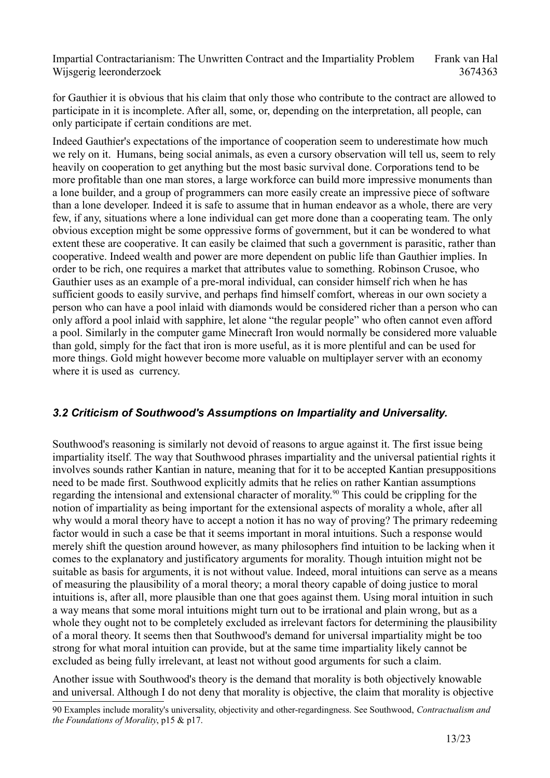for Gauthier it is obvious that his claim that only those who contribute to the contract are allowed to participate in it is incomplete. After all, some, or, depending on the interpretation, all people, can only participate if certain conditions are met.

Indeed Gauthier's expectations of the importance of cooperation seem to underestimate how much we rely on it. Humans, being social animals, as even a cursory observation will tell us, seem to rely heavily on cooperation to get anything but the most basic survival done. Corporations tend to be more profitable than one man stores, a large workforce can build more impressive monuments than a lone builder, and a group of programmers can more easily create an impressive piece of software than a lone developer. Indeed it is safe to assume that in human endeavor as a whole, there are very few, if any, situations where a lone individual can get more done than a cooperating team. The only obvious exception might be some oppressive forms of government, but it can be wondered to what extent these are cooperative. It can easily be claimed that such a government is parasitic, rather than cooperative. Indeed wealth and power are more dependent on public life than Gauthier implies. In order to be rich, one requires a market that attributes value to something. Robinson Crusoe, who Gauthier uses as an example of a pre-moral individual, can consider himself rich when he has sufficient goods to easily survive, and perhaps find himself comfort, whereas in our own society a person who can have a pool inlaid with diamonds would be considered richer than a person who can only afford a pool inlaid with sapphire, let alone "the regular people" who often cannot even afford a pool. Similarly in the computer game Minecraft Iron would normally be considered more valuable than gold, simply for the fact that iron is more useful, as it is more plentiful and can be used for more things. Gold might however become more valuable on multiplayer server with an economy where it is used as currency.

## *3.2 Criticism of Southwood's Assumptions on Impartiality and Universality.*

Southwood's reasoning is similarly not devoid of reasons to argue against it. The first issue being impartiality itself. The way that Southwood phrases impartiality and the universal patiential rights it involves sounds rather Kantian in nature, meaning that for it to be accepted Kantian presuppositions need to be made first. Southwood explicitly admits that he relies on rather Kantian assumptions regarding the intensional and extensional character of morality.<sup>[90](#page-12-0)</sup> This could be crippling for the notion of impartiality as being important for the extensional aspects of morality a whole, after all why would a moral theory have to accept a notion it has no way of proving? The primary redeeming factor would in such a case be that it seems important in moral intuitions. Such a response would merely shift the question around however, as many philosophers find intuition to be lacking when it comes to the explanatory and justificatory arguments for morality. Though intuition might not be suitable as basis for arguments, it is not without value. Indeed, moral intuitions can serve as a means of measuring the plausibility of a moral theory; a moral theory capable of doing justice to moral intuitions is, after all, more plausible than one that goes against them. Using moral intuition in such a way means that some moral intuitions might turn out to be irrational and plain wrong, but as a whole they ought not to be completely excluded as irrelevant factors for determining the plausibility of a moral theory. It seems then that Southwood's demand for universal impartiality might be too strong for what moral intuition can provide, but at the same time impartiality likely cannot be excluded as being fully irrelevant, at least not without good arguments for such a claim.

Another issue with Southwood's theory is the demand that morality is both objectively knowable and universal. Although I do not deny that morality is objective, the claim that morality is objective

<span id="page-12-0"></span><sup>90</sup> Examples include morality's universality, objectivity and other-regardingness. See Southwood, *Contractualism and the Foundations of Morality*, p15 & p17.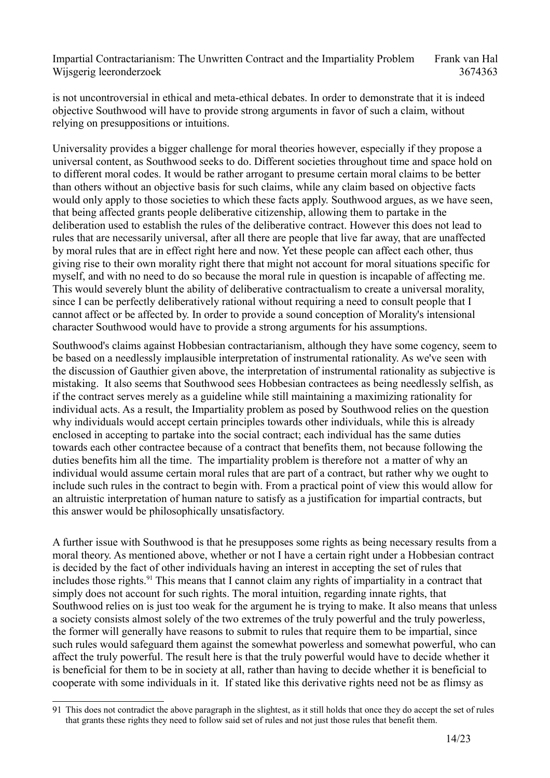is not uncontroversial in ethical and meta-ethical debates. In order to demonstrate that it is indeed objective Southwood will have to provide strong arguments in favor of such a claim, without relying on presuppositions or intuitions.

Universality provides a bigger challenge for moral theories however, especially if they propose a universal content, as Southwood seeks to do. Different societies throughout time and space hold on to different moral codes. It would be rather arrogant to presume certain moral claims to be better than others without an objective basis for such claims, while any claim based on objective facts would only apply to those societies to which these facts apply. Southwood argues, as we have seen, that being affected grants people deliberative citizenship, allowing them to partake in the deliberation used to establish the rules of the deliberative contract. However this does not lead to rules that are necessarily universal, after all there are people that live far away, that are unaffected by moral rules that are in effect right here and now. Yet these people can affect each other, thus giving rise to their own morality right there that might not account for moral situations specific for myself, and with no need to do so because the moral rule in question is incapable of affecting me. This would severely blunt the ability of deliberative contractualism to create a universal morality, since I can be perfectly deliberatively rational without requiring a need to consult people that I cannot affect or be affected by. In order to provide a sound conception of Morality's intensional character Southwood would have to provide a strong arguments for his assumptions.

Southwood's claims against Hobbesian contractarianism, although they have some cogency, seem to be based on a needlessly implausible interpretation of instrumental rationality. As we've seen with the discussion of Gauthier given above, the interpretation of instrumental rationality as subjective is mistaking. It also seems that Southwood sees Hobbesian contractees as being needlessly selfish, as if the contract serves merely as a guideline while still maintaining a maximizing rationality for individual acts. As a result, the Impartiality problem as posed by Southwood relies on the question why individuals would accept certain principles towards other individuals, while this is already enclosed in accepting to partake into the social contract; each individual has the same duties towards each other contractee because of a contract that benefits them, not because following the duties benefits him all the time. The impartiality problem is therefore not a matter of why an individual would assume certain moral rules that are part of a contract, but rather why we ought to include such rules in the contract to begin with. From a practical point of view this would allow for an altruistic interpretation of human nature to satisfy as a justification for impartial contracts, but this answer would be philosophically unsatisfactory.

A further issue with Southwood is that he presupposes some rights as being necessary results from a moral theory. As mentioned above, whether or not I have a certain right under a Hobbesian contract is decided by the fact of other individuals having an interest in accepting the set of rules that includes those rights.<sup>[91](#page-13-0)</sup> This means that I cannot claim any rights of impartiality in a contract that simply does not account for such rights. The moral intuition, regarding innate rights, that Southwood relies on is just too weak for the argument he is trying to make. It also means that unless a society consists almost solely of the two extremes of the truly powerful and the truly powerless, the former will generally have reasons to submit to rules that require them to be impartial, since such rules would safeguard them against the somewhat powerless and somewhat powerful, who can affect the truly powerful. The result here is that the truly powerful would have to decide whether it is beneficial for them to be in society at all, rather than having to decide whether it is beneficial to cooperate with some individuals in it. If stated like this derivative rights need not be as flimsy as

<span id="page-13-0"></span><sup>91</sup> This does not contradict the above paragraph in the slightest, as it still holds that once they do accept the set of rules that grants these rights they need to follow said set of rules and not just those rules that benefit them.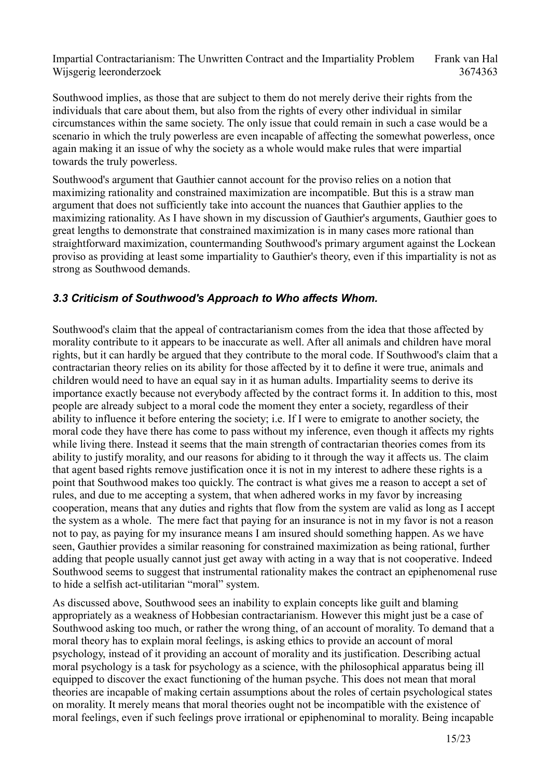Southwood implies, as those that are subject to them do not merely derive their rights from the individuals that care about them, but also from the rights of every other individual in similar circumstances within the same society. The only issue that could remain in such a case would be a scenario in which the truly powerless are even incapable of affecting the somewhat powerless, once again making it an issue of why the society as a whole would make rules that were impartial towards the truly powerless.

Southwood's argument that Gauthier cannot account for the proviso relies on a notion that maximizing rationality and constrained maximization are incompatible. But this is a straw man argument that does not sufficiently take into account the nuances that Gauthier applies to the maximizing rationality. As I have shown in my discussion of Gauthier's arguments, Gauthier goes to great lengths to demonstrate that constrained maximization is in many cases more rational than straightforward maximization, countermanding Southwood's primary argument against the Lockean proviso as providing at least some impartiality to Gauthier's theory, even if this impartiality is not as strong as Southwood demands.

#### *3.3 Criticism of Southwood's Approach to Who affects Whom.*

Southwood's claim that the appeal of contractarianism comes from the idea that those affected by morality contribute to it appears to be inaccurate as well. After all animals and children have moral rights, but it can hardly be argued that they contribute to the moral code. If Southwood's claim that a contractarian theory relies on its ability for those affected by it to define it were true, animals and children would need to have an equal say in it as human adults. Impartiality seems to derive its importance exactly because not everybody affected by the contract forms it. In addition to this, most people are already subject to a moral code the moment they enter a society, regardless of their ability to influence it before entering the society; i.e. If I were to emigrate to another society, the moral code they have there has come to pass without my inference, even though it affects my rights while living there. Instead it seems that the main strength of contractarian theories comes from its ability to justify morality, and our reasons for abiding to it through the way it affects us. The claim that agent based rights remove justification once it is not in my interest to adhere these rights is a point that Southwood makes too quickly. The contract is what gives me a reason to accept a set of rules, and due to me accepting a system, that when adhered works in my favor by increasing cooperation, means that any duties and rights that flow from the system are valid as long as I accept the system as a whole. The mere fact that paying for an insurance is not in my favor is not a reason not to pay, as paying for my insurance means I am insured should something happen. As we have seen, Gauthier provides a similar reasoning for constrained maximization as being rational, further adding that people usually cannot just get away with acting in a way that is not cooperative. Indeed Southwood seems to suggest that instrumental rationality makes the contract an epiphenomenal ruse to hide a selfish act-utilitarian "moral" system.

As discussed above, Southwood sees an inability to explain concepts like guilt and blaming appropriately as a weakness of Hobbesian contractarianism. However this might just be a case of Southwood asking too much, or rather the wrong thing, of an account of morality. To demand that a moral theory has to explain moral feelings, is asking ethics to provide an account of moral psychology, instead of it providing an account of morality and its justification. Describing actual moral psychology is a task for psychology as a science, with the philosophical apparatus being ill equipped to discover the exact functioning of the human psyche. This does not mean that moral theories are incapable of making certain assumptions about the roles of certain psychological states on morality. It merely means that moral theories ought not be incompatible with the existence of moral feelings, even if such feelings prove irrational or epiphenominal to morality. Being incapable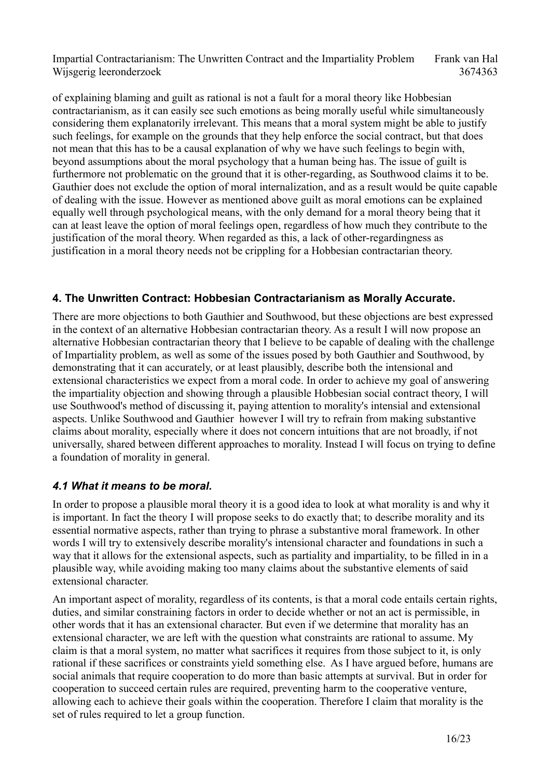of explaining blaming and guilt as rational is not a fault for a moral theory like Hobbesian contractarianism, as it can easily see such emotions as being morally useful while simultaneously considering them explanatorily irrelevant. This means that a moral system might be able to justify such feelings, for example on the grounds that they help enforce the social contract, but that does not mean that this has to be a causal explanation of why we have such feelings to begin with, beyond assumptions about the moral psychology that a human being has. The issue of guilt is furthermore not problematic on the ground that it is other-regarding, as Southwood claims it to be. Gauthier does not exclude the option of moral internalization, and as a result would be quite capable of dealing with the issue. However as mentioned above guilt as moral emotions can be explained equally well through psychological means, with the only demand for a moral theory being that it can at least leave the option of moral feelings open, regardless of how much they contribute to the justification of the moral theory. When regarded as this, a lack of other-regardingness as justification in a moral theory needs not be crippling for a Hobbesian contractarian theory.

#### **4. The Unwritten Contract: Hobbesian Contractarianism as Morally Accurate.**

There are more objections to both Gauthier and Southwood, but these objections are best expressed in the context of an alternative Hobbesian contractarian theory. As a result I will now propose an alternative Hobbesian contractarian theory that I believe to be capable of dealing with the challenge of Impartiality problem, as well as some of the issues posed by both Gauthier and Southwood, by demonstrating that it can accurately, or at least plausibly, describe both the intensional and extensional characteristics we expect from a moral code. In order to achieve my goal of answering the impartiality objection and showing through a plausible Hobbesian social contract theory, I will use Southwood's method of discussing it, paying attention to morality's intensial and extensional aspects. Unlike Southwood and Gauthier however I will try to refrain from making substantive claims about morality, especially where it does not concern intuitions that are not broadly, if not universally, shared between different approaches to morality. Instead I will focus on trying to define a foundation of morality in general.

## *4.1 What it means to be moral.*

In order to propose a plausible moral theory it is a good idea to look at what morality is and why it is important. In fact the theory I will propose seeks to do exactly that; to describe morality and its essential normative aspects, rather than trying to phrase a substantive moral framework. In other words I will try to extensively describe morality's intensional character and foundations in such a way that it allows for the extensional aspects, such as partiality and impartiality, to be filled in in a plausible way, while avoiding making too many claims about the substantive elements of said extensional character.

An important aspect of morality, regardless of its contents, is that a moral code entails certain rights, duties, and similar constraining factors in order to decide whether or not an act is permissible, in other words that it has an extensional character. But even if we determine that morality has an extensional character, we are left with the question what constraints are rational to assume. My claim is that a moral system, no matter what sacrifices it requires from those subject to it, is only rational if these sacrifices or constraints yield something else. As I have argued before, humans are social animals that require cooperation to do more than basic attempts at survival. But in order for cooperation to succeed certain rules are required, preventing harm to the cooperative venture, allowing each to achieve their goals within the cooperation. Therefore I claim that morality is the set of rules required to let a group function.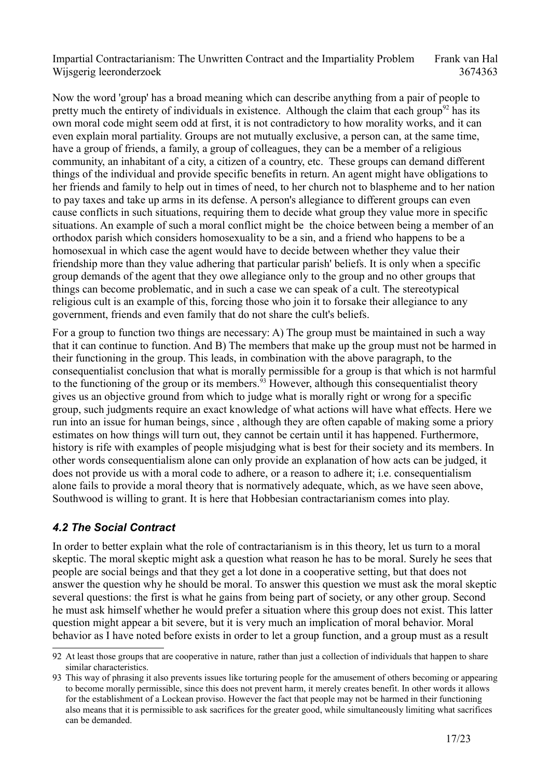Now the word 'group' has a broad meaning which can describe anything from a pair of people to pretty much the entirety of individuals in existence. Although the claim that each group<sup>[92](#page-16-0)</sup> has its own moral code might seem odd at first, it is not contradictory to how morality works, and it can even explain moral partiality. Groups are not mutually exclusive, a person can, at the same time, have a group of friends, a family, a group of colleagues, they can be a member of a religious community, an inhabitant of a city, a citizen of a country, etc. These groups can demand different things of the individual and provide specific benefits in return. An agent might have obligations to her friends and family to help out in times of need, to her church not to blaspheme and to her nation to pay taxes and take up arms in its defense. A person's allegiance to different groups can even cause conflicts in such situations, requiring them to decide what group they value more in specific situations. An example of such a moral conflict might be the choice between being a member of an orthodox parish which considers homosexuality to be a sin, and a friend who happens to be a homosexual in which case the agent would have to decide between whether they value their friendship more than they value adhering that particular parish' beliefs. It is only when a specific group demands of the agent that they owe allegiance only to the group and no other groups that things can become problematic, and in such a case we can speak of a cult. The stereotypical religious cult is an example of this, forcing those who join it to forsake their allegiance to any government, friends and even family that do not share the cult's beliefs.

For a group to function two things are necessary: A) The group must be maintained in such a way that it can continue to function. And B) The members that make up the group must not be harmed in their functioning in the group. This leads, in combination with the above paragraph, to the consequentialist conclusion that what is morally permissible for a group is that which is not harmful to the functioning of the group or its members.<sup>[93](#page-16-1)</sup> However, although this consequentialist theory gives us an objective ground from which to judge what is morally right or wrong for a specific group, such judgments require an exact knowledge of what actions will have what effects. Here we run into an issue for human beings, since , although they are often capable of making some a priory estimates on how things will turn out, they cannot be certain until it has happened. Furthermore, history is rife with examples of people misjudging what is best for their society and its members. In other words consequentialism alone can only provide an explanation of how acts can be judged, it does not provide us with a moral code to adhere, or a reason to adhere it; i.e. consequentialism alone fails to provide a moral theory that is normatively adequate, which, as we have seen above, Southwood is willing to grant. It is here that Hobbesian contractarianism comes into play.

## *4.2 The Social Contract*

In order to better explain what the role of contractarianism is in this theory, let us turn to a moral skeptic. The moral skeptic might ask a question what reason he has to be moral. Surely he sees that people are social beings and that they get a lot done in a cooperative setting, but that does not answer the question why he should be moral. To answer this question we must ask the moral skeptic several questions: the first is what he gains from being part of society, or any other group. Second he must ask himself whether he would prefer a situation where this group does not exist. This latter question might appear a bit severe, but it is very much an implication of moral behavior. Moral behavior as I have noted before exists in order to let a group function, and a group must as a result

<span id="page-16-0"></span><sup>92</sup> At least those groups that are cooperative in nature, rather than just a collection of individuals that happen to share similar characteristics.

<span id="page-16-1"></span><sup>93</sup> This way of phrasing it also prevents issues like torturing people for the amusement of others becoming or appearing to become morally permissible, since this does not prevent harm, it merely creates benefit. In other words it allows for the establishment of a Lockean proviso. However the fact that people may not be harmed in their functioning also means that it is permissible to ask sacrifices for the greater good, while simultaneously limiting what sacrifices can be demanded.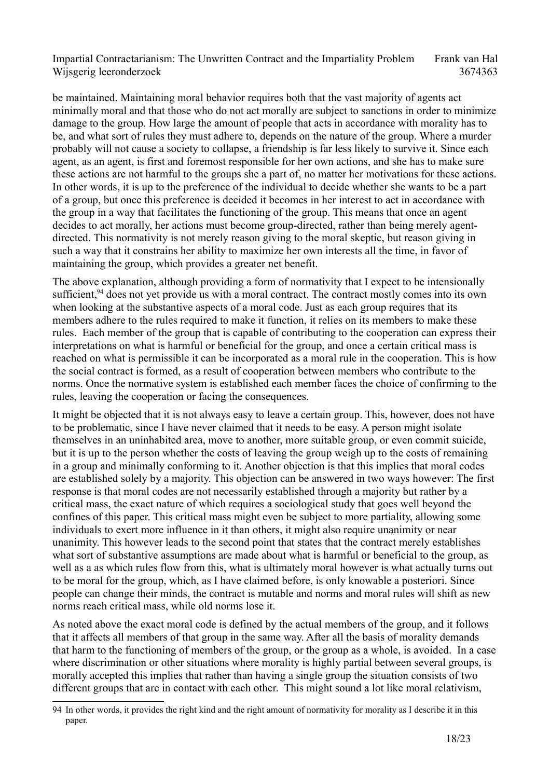be maintained. Maintaining moral behavior requires both that the vast majority of agents act minimally moral and that those who do not act morally are subject to sanctions in order to minimize damage to the group. How large the amount of people that acts in accordance with morality has to be, and what sort of rules they must adhere to, depends on the nature of the group. Where a murder probably will not cause a society to collapse, a friendship is far less likely to survive it. Since each agent, as an agent, is first and foremost responsible for her own actions, and she has to make sure these actions are not harmful to the groups she a part of, no matter her motivations for these actions. In other words, it is up to the preference of the individual to decide whether she wants to be a part of a group, but once this preference is decided it becomes in her interest to act in accordance with the group in a way that facilitates the functioning of the group. This means that once an agent decides to act morally, her actions must become group-directed, rather than being merely agentdirected. This normativity is not merely reason giving to the moral skeptic, but reason giving in such a way that it constrains her ability to maximize her own interests all the time, in favor of maintaining the group, which provides a greater net benefit.

The above explanation, although providing a form of normativity that I expect to be intensionally sufficient,<sup>[94](#page-17-0)</sup> does not yet provide us with a moral contract. The contract mostly comes into its own when looking at the substantive aspects of a moral code. Just as each group requires that its members adhere to the rules required to make it function, it relies on its members to make these rules. Each member of the group that is capable of contributing to the cooperation can express their interpretations on what is harmful or beneficial for the group, and once a certain critical mass is reached on what is permissible it can be incorporated as a moral rule in the cooperation. This is how the social contract is formed, as a result of cooperation between members who contribute to the norms. Once the normative system is established each member faces the choice of confirming to the rules, leaving the cooperation or facing the consequences.

It might be objected that it is not always easy to leave a certain group. This, however, does not have to be problematic, since I have never claimed that it needs to be easy. A person might isolate themselves in an uninhabited area, move to another, more suitable group, or even commit suicide, but it is up to the person whether the costs of leaving the group weigh up to the costs of remaining in a group and minimally conforming to it. Another objection is that this implies that moral codes are established solely by a majority. This objection can be answered in two ways however: The first response is that moral codes are not necessarily established through a majority but rather by a critical mass, the exact nature of which requires a sociological study that goes well beyond the confines of this paper. This critical mass might even be subject to more partiality, allowing some individuals to exert more influence in it than others, it might also require unanimity or near unanimity. This however leads to the second point that states that the contract merely establishes what sort of substantive assumptions are made about what is harmful or beneficial to the group, as well as a as which rules flow from this, what is ultimately moral however is what actually turns out to be moral for the group, which, as I have claimed before, is only knowable a posteriori. Since people can change their minds, the contract is mutable and norms and moral rules will shift as new norms reach critical mass, while old norms lose it.

As noted above the exact moral code is defined by the actual members of the group, and it follows that it affects all members of that group in the same way. After all the basis of morality demands that harm to the functioning of members of the group, or the group as a whole, is avoided. In a case where discrimination or other situations where morality is highly partial between several groups, is morally accepted this implies that rather than having a single group the situation consists of two different groups that are in contact with each other. This might sound a lot like moral relativism,

<span id="page-17-0"></span><sup>94</sup> In other words, it provides the right kind and the right amount of normativity for morality as I describe it in this paper.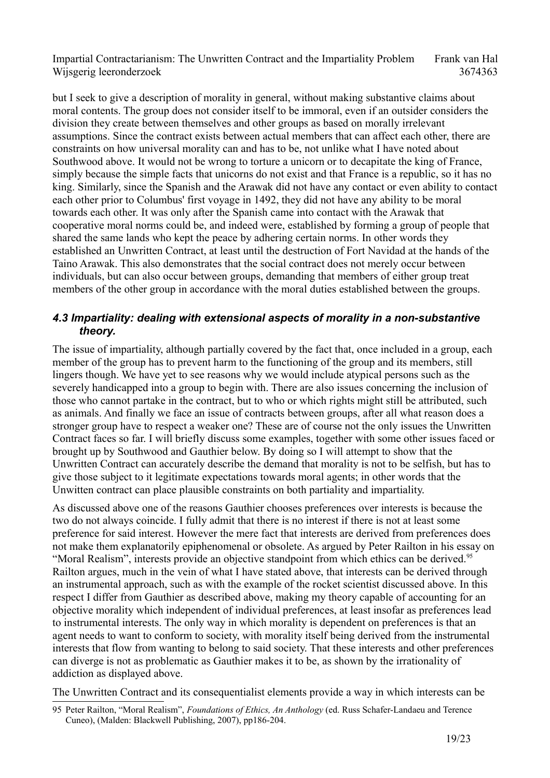but I seek to give a description of morality in general, without making substantive claims about moral contents. The group does not consider itself to be immoral, even if an outsider considers the division they create between themselves and other groups as based on morally irrelevant assumptions. Since the contract exists between actual members that can affect each other, there are constraints on how universal morality can and has to be, not unlike what I have noted about Southwood above. It would not be wrong to torture a unicorn or to decapitate the king of France, simply because the simple facts that unicorns do not exist and that France is a republic, so it has no king. Similarly, since the Spanish and the Arawak did not have any contact or even ability to contact each other prior to Columbus' first voyage in 1492, they did not have any ability to be moral towards each other. It was only after the Spanish came into contact with the Arawak that cooperative moral norms could be, and indeed were, established by forming a group of people that shared the same lands who kept the peace by adhering certain norms. In other words they established an Unwritten Contract, at least until the destruction of Fort Navidad at the hands of the Taino Arawak. This also demonstrates that the social contract does not merely occur between individuals, but can also occur between groups, demanding that members of either group treat members of the other group in accordance with the moral duties established between the groups.

#### *4.3 Impartiality: dealing with extensional aspects of morality in a non-substantive theory.*

The issue of impartiality, although partially covered by the fact that, once included in a group, each member of the group has to prevent harm to the functioning of the group and its members, still lingers though. We have yet to see reasons why we would include atypical persons such as the severely handicapped into a group to begin with. There are also issues concerning the inclusion of those who cannot partake in the contract, but to who or which rights might still be attributed, such as animals. And finally we face an issue of contracts between groups, after all what reason does a stronger group have to respect a weaker one? These are of course not the only issues the Unwritten Contract faces so far. I will briefly discuss some examples, together with some other issues faced or brought up by Southwood and Gauthier below. By doing so I will attempt to show that the Unwritten Contract can accurately describe the demand that morality is not to be selfish, but has to give those subject to it legitimate expectations towards moral agents; in other words that the Unwitten contract can place plausible constraints on both partiality and impartiality.

As discussed above one of the reasons Gauthier chooses preferences over interests is because the two do not always coincide. I fully admit that there is no interest if there is not at least some preference for said interest. However the mere fact that interests are derived from preferences does not make them explanatorily epiphenomenal or obsolete. As argued by Peter Railton in his essay on "Moral Realism", interests provide an objective standpoint from which ethics can be derived.<sup>[95](#page-18-0)</sup> Railton argues, much in the vein of what I have stated above, that interests can be derived through an instrumental approach, such as with the example of the rocket scientist discussed above. In this respect I differ from Gauthier as described above, making my theory capable of accounting for an objective morality which independent of individual preferences, at least insofar as preferences lead to instrumental interests. The only way in which morality is dependent on preferences is that an agent needs to want to conform to society, with morality itself being derived from the instrumental interests that flow from wanting to belong to said society. That these interests and other preferences can diverge is not as problematic as Gauthier makes it to be, as shown by the irrationality of addiction as displayed above.

The Unwritten Contract and its consequentialist elements provide a way in which interests can be

<span id="page-18-0"></span><sup>95</sup> Peter Railton, "Moral Realism", *Foundations of Ethics, An Anthology* (ed. Russ Schafer-Landaeu and Terence Cuneo), (Malden: Blackwell Publishing, 2007), pp186-204.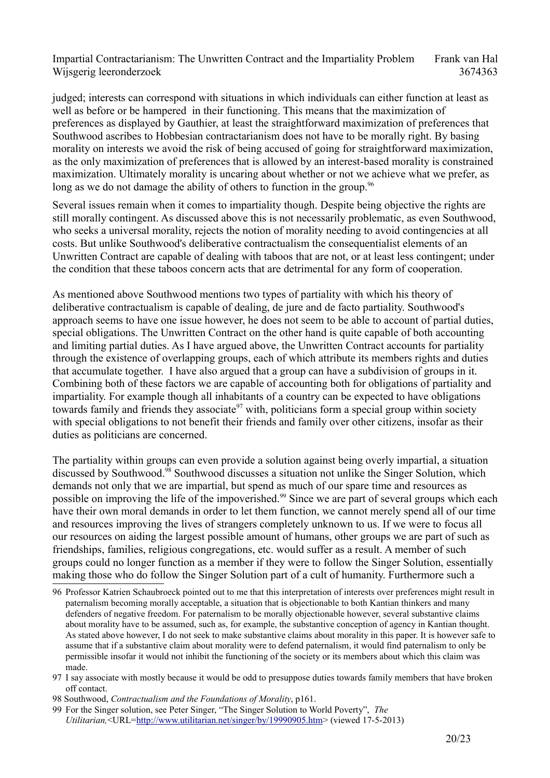judged; interests can correspond with situations in which individuals can either function at least as well as before or be hampered in their functioning. This means that the maximization of preferences as displayed by Gauthier, at least the straightforward maximization of preferences that Southwood ascribes to Hobbesian contractarianism does not have to be morally right. By basing morality on interests we avoid the risk of being accused of going for straightforward maximization, as the only maximization of preferences that is allowed by an interest-based morality is constrained maximization. Ultimately morality is uncaring about whether or not we achieve what we prefer, as long as we do not damage the ability of others to function in the group.<sup>[96](#page-19-0)</sup>

Several issues remain when it comes to impartiality though. Despite being objective the rights are still morally contingent. As discussed above this is not necessarily problematic, as even Southwood, who seeks a universal morality, rejects the notion of morality needing to avoid contingencies at all costs. But unlike Southwood's deliberative contractualism the consequentialist elements of an Unwritten Contract are capable of dealing with taboos that are not, or at least less contingent; under the condition that these taboos concern acts that are detrimental for any form of cooperation.

As mentioned above Southwood mentions two types of partiality with which his theory of deliberative contractualism is capable of dealing, de jure and de facto partiality. Southwood's approach seems to have one issue however, he does not seem to be able to account of partial duties, special obligations. The Unwritten Contract on the other hand is quite capable of both accounting and limiting partial duties. As I have argued above, the Unwritten Contract accounts for partiality through the existence of overlapping groups, each of which attribute its members rights and duties that accumulate together. I have also argued that a group can have a subdivision of groups in it. Combining both of these factors we are capable of accounting both for obligations of partiality and impartiality. For example though all inhabitants of a country can be expected to have obligations towards family and friends they associate<sup>[97](#page-19-1)</sup> with, politicians form a special group within society with special obligations to not benefit their friends and family over other citizens, insofar as their duties as politicians are concerned.

The partiality within groups can even provide a solution against being overly impartial, a situation discussed by Southwood.<sup>[98](#page-19-2)</sup> Southwood discusses a situation not unlike the Singer Solution, which demands not only that we are impartial, but spend as much of our spare time and resources as possible on improving the life of the impoverished.<sup>[99](#page-19-3)</sup> Since we are part of several groups which each have their own moral demands in order to let them function, we cannot merely spend all of our time and resources improving the lives of strangers completely unknown to us. If we were to focus all our resources on aiding the largest possible amount of humans, other groups we are part of such as friendships, families, religious congregations, etc. would suffer as a result. A member of such groups could no longer function as a member if they were to follow the Singer Solution, essentially making those who do follow the Singer Solution part of a cult of humanity. Furthermore such a

<span id="page-19-0"></span><sup>96</sup> Professor Katrien Schaubroeck pointed out to me that this interpretation of interests over preferences might result in paternalism becoming morally acceptable, a situation that is objectionable to both Kantian thinkers and many defenders of negative freedom. For paternalism to be morally objectionable however, several substantive claims about morality have to be assumed, such as, for example, the substantive conception of agency in Kantian thought. As stated above however, I do not seek to make substantive claims about morality in this paper. It is however safe to assume that if a substantive claim about morality were to defend paternalism, it would find paternalism to only be permissible insofar it would not inhibit the functioning of the society or its members about which this claim was made.

<span id="page-19-1"></span><sup>97</sup> I say associate with mostly because it would be odd to presuppose duties towards family members that have broken off contact.

<span id="page-19-2"></span><sup>98</sup> Southwood, *Contractualism and the Foundations of Morality*, p161.

<span id="page-19-3"></span><sup>99</sup> For the Singer solution, see Peter Singer, "The Singer Solution to World Poverty", *The Utilitarian,*<URL[=http://www.utilitarian.net/singer/by/19990905.htm>](http://www.utilitarian.net/singer/by/19990905.htm) (viewed 17-5-2013)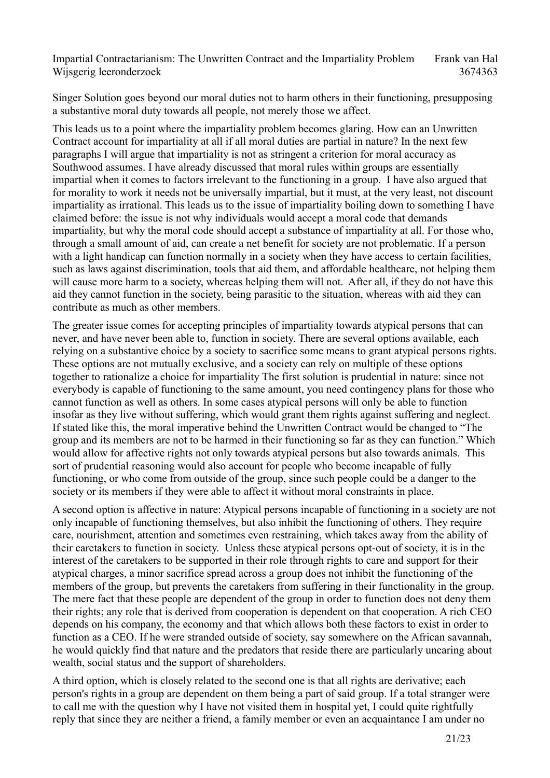Singer Solution goes beyond our moral duties not to harm others in their functioning, presupposing a substantive moral duty towards all people, not merely those we affect.

This leads us to a point where the impartiality problem becomes glaring. How can an Unwritten Contract account for impartiality at all if all moral duties are partial in nature? In the next few paragraphs I will argue that impartiality is not as stringent a criterion for moral accuracy as Southwood assumes. I have already discussed that moral rules within groups are essentially impartial when it comes to factors irrelevant to the functioning in a group. I have also argued that for morality to work it needs not be universally impartial, but it must, at the very least, not discount impartiality as irrational. This leads us to the issue of impartiality boiling down to something I have claimed before: the issue is not why individuals would accept a moral code that demands impartiality, but why the moral code should accept a substance of impartiality at all. For those who, through a small amount of aid, can create a net benefit for society are not problematic. If a person with a light handicap can function normally in a society when they have access to certain facilities, such as laws against discrimination, tools that aid them, and affordable healthcare, not helping them will cause more harm to a society, whereas helping them will not. After all, if they do not have this aid they cannot function in the society, being parasitic to the situation, whereas with aid they can contribute as much as other members.

The greater issue comes for accepting principles of impartiality towards atypical persons that can never, and have never been able to, function in society. There are several options available, each relying on a substantive choice by a society to sacrifice some means to grant atypical persons rights. These options are not mutually exclusive, and a society can rely on multiple of these options together to rationalize a choice for impartiality The first solution is prudential in nature: since not everybody is capable of functioning to the same amount, you need contingency plans for those who cannot function as well as others. In some cases atypical persons will only be able to function insofar as they live without suffering, which would grant them rights against suffering and neglect. If stated like this, the moral imperative behind the Unwritten Contract would be changed to "The group and its members are not to be harmed in their functioning so far as they can function." Which would allow for affective rights not only towards atypical persons but also towards animals. This sort of prudential reasoning would also account for people who become incapable of fully functioning, or who come from outside of the group, since such people could be a danger to the society or its members if they were able to affect it without moral constraints in place.

A second option is affective in nature: Atypical persons incapable of functioning in a society are not only incapable of functioning themselves, but also inhibit the functioning of others. They require care, nourishment, attention and sometimes even restraining, which takes away from the ability of their caretakers to function in society. Unless these atypical persons opt-out of society, it is in the interest of the caretakers to be supported in their role through rights to care and support for their atypical charges, a minor sacrifice spread across a group does not inhibit the functioning of the members of the group, but prevents the caretakers from suffering in their functionality in the group. The mere fact that these people are dependent of the group in order to function does not deny them their rights; any role that is derived from cooperation is dependent on that cooperation. A rich CEO depends on his company, the economy and that which allows both these factors to exist in order to function as a CEO. If he were stranded outside of society, say somewhere on the African savannah, he would quickly find that nature and the predators that reside there are particularly uncaring about wealth, social status and the support of shareholders.

A third option, which is closely related to the second one is that all rights are derivative; each person's rights in a group are dependent on them being a part of said group. If a total stranger were to call me with the question why I have not visited them in hospital yet, I could quite rightfully reply that since they are neither a friend, a family member or even an acquaintance I am under no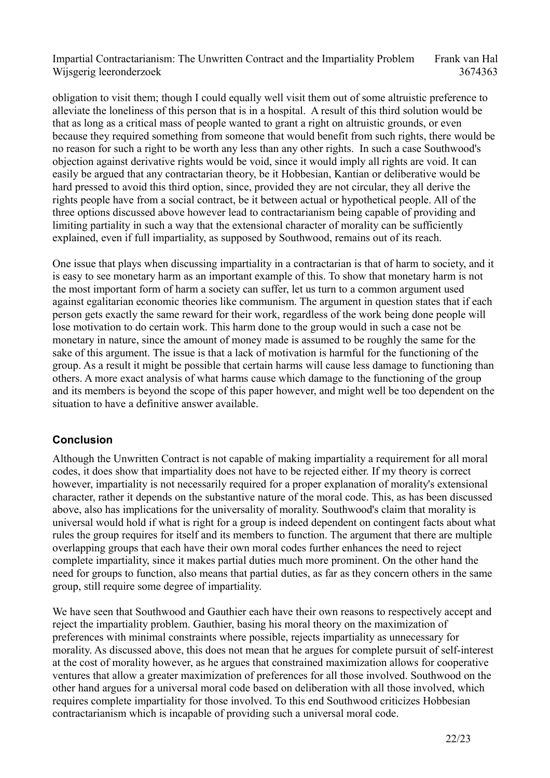obligation to visit them; though I could equally well visit them out of some altruistic preference to alleviate the loneliness of this person that is in a hospital. A result of this third solution would be that as long as a critical mass of people wanted to grant a right on altruistic grounds, or even because they required something from someone that would benefit from such rights, there would be no reason for such a right to be worth any less than any other rights. In such a case Southwood's objection against derivative rights would be void, since it would imply all rights are void. It can easily be argued that any contractarian theory, be it Hobbesian, Kantian or deliberative would be hard pressed to avoid this third option, since, provided they are not circular, they all derive the rights people have from a social contract, be it between actual or hypothetical people. All of the three options discussed above however lead to contractarianism being capable of providing and limiting partiality in such a way that the extensional character of morality can be sufficiently explained, even if full impartiality, as supposed by Southwood, remains out of its reach.

One issue that plays when discussing impartiality in a contractarian is that of harm to society, and it is easy to see monetary harm as an important example of this. To show that monetary harm is not the most important form of harm a society can suffer, let us turn to a common argument used against egalitarian economic theories like communism. The argument in question states that if each person gets exactly the same reward for their work, regardless of the work being done people will lose motivation to do certain work. This harm done to the group would in such a case not be monetary in nature, since the amount of money made is assumed to be roughly the same for the sake of this argument. The issue is that a lack of motivation is harmful for the functioning of the group. As a result it might be possible that certain harms will cause less damage to functioning than others. A more exact analysis of what harms cause which damage to the functioning of the group and its members is beyond the scope of this paper however, and might well be too dependent on the situation to have a definitive answer available.

## **Conclusion**

Although the Unwritten Contract is not capable of making impartiality a requirement for all moral codes, it does show that impartiality does not have to be rejected either. If my theory is correct however, impartiality is not necessarily required for a proper explanation of morality's extensional character, rather it depends on the substantive nature of the moral code. This, as has been discussed above, also has implications for the universality of morality. Southwood's claim that morality is universal would hold if what is right for a group is indeed dependent on contingent facts about what rules the group requires for itself and its members to function. The argument that there are multiple overlapping groups that each have their own moral codes further enhances the need to reject complete impartiality, since it makes partial duties much more prominent. On the other hand the need for groups to function, also means that partial duties, as far as they concern others in the same group, still require some degree of impartiality.

We have seen that Southwood and Gauthier each have their own reasons to respectively accept and reject the impartiality problem. Gauthier, basing his moral theory on the maximization of preferences with minimal constraints where possible, rejects impartiality as unnecessary for morality. As discussed above, this does not mean that he argues for complete pursuit of self-interest at the cost of morality however, as he argues that constrained maximization allows for cooperative ventures that allow a greater maximization of preferences for all those involved. Southwood on the other hand argues for a universal moral code based on deliberation with all those involved, which requires complete impartiality for those involved. To this end Southwood criticizes Hobbesian contractarianism which is incapable of providing such a universal moral code.